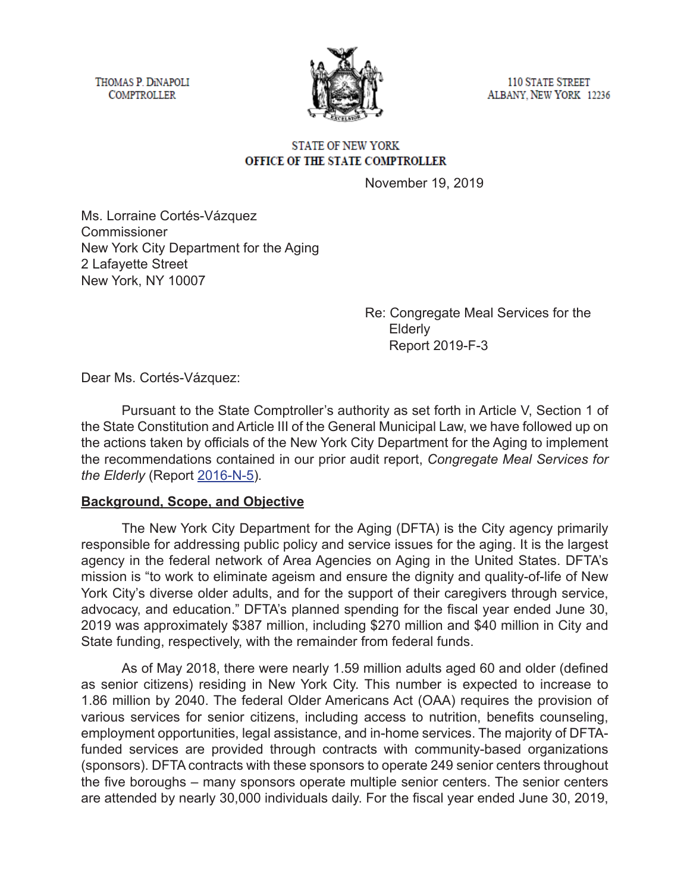THOMAS P. DINAPOLI **COMPTROLLER** 



110 STATE STREET ALBANY, NEW YORK 12236

#### **STATE OF NEW YORK** OFFICE OF THE STATE COMPTROLLER

November 19, 2019

Ms. Lorraine Cortés-Vázquez Commissioner New York City Department for the Aging 2 Lafayette Street New York, NY 10007

> Re: Congregate Meal Services for the Elderly Report 2019-F-3

Dear Ms. Cortés-Vázquez:

Pursuant to the State Comptroller's authority as set forth in Article V, Section 1 of the State Constitution and Article III of the General Municipal Law, we have followed up on the actions taken by officials of the New York City Department for the Aging to implement the recommendations contained in our prior audit report, *Congregate Meal Services for the Elderly* (Report [2016-N-5](https://osc.state.ny.us/audits/allaudits/093018/16n5.htm))*.* 

### **Background, Scope, and Objective**

The New York City Department for the Aging (DFTA) is the City agency primarily responsible for addressing public policy and service issues for the aging. It is the largest agency in the federal network of Area Agencies on Aging in the United States. DFTA's mission is "to work to eliminate ageism and ensure the dignity and quality-of-life of New York City's diverse older adults, and for the support of their caregivers through service, advocacy, and education." DFTA's planned spending for the fiscal year ended June 30, 2019 was approximately \$387 million, including \$270 million and \$40 million in City and State funding, respectively, with the remainder from federal funds.

As of May 2018, there were nearly 1.59 million adults aged 60 and older (defined as senior citizens) residing in New York City. This number is expected to increase to 1.86 million by 2040. The federal Older Americans Act (OAA) requires the provision of various services for senior citizens, including access to nutrition, benefits counseling, employment opportunities, legal assistance, and in-home services. The majority of DFTAfunded services are provided through contracts with community-based organizations (sponsors). DFTA contracts with these sponsors to operate 249 senior centers throughout the five boroughs – many sponsors operate multiple senior centers. The senior centers are attended by nearly 30,000 individuals daily. For the fiscal year ended June 30, 2019,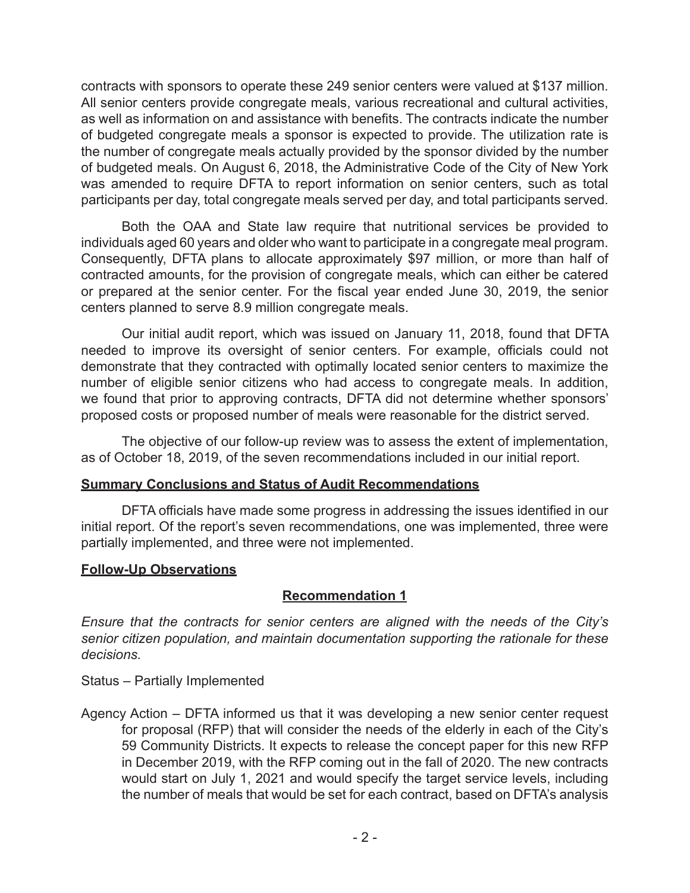contracts with sponsors to operate these 249 senior centers were valued at \$137 million. All senior centers provide congregate meals, various recreational and cultural activities, as well as information on and assistance with benefits. The contracts indicate the number of budgeted congregate meals a sponsor is expected to provide. The utilization rate is the number of congregate meals actually provided by the sponsor divided by the number of budgeted meals. On August 6, 2018, the Administrative Code of the City of New York was amended to require DFTA to report information on senior centers, such as total participants per day, total congregate meals served per day, and total participants served.

Both the OAA and State law require that nutritional services be provided to individuals aged 60 years and older who want to participate in a congregate meal program. Consequently, DFTA plans to allocate approximately \$97 million, or more than half of contracted amounts, for the provision of congregate meals, which can either be catered or prepared at the senior center. For the fiscal year ended June 30, 2019, the senior centers planned to serve 8.9 million congregate meals.

Our initial audit report, which was issued on January 11, 2018, found that DFTA needed to improve its oversight of senior centers. For example, officials could not demonstrate that they contracted with optimally located senior centers to maximize the number of eligible senior citizens who had access to congregate meals. In addition, we found that prior to approving contracts, DFTA did not determine whether sponsors' proposed costs or proposed number of meals were reasonable for the district served.

The objective of our follow-up review was to assess the extent of implementation, as of October 18, 2019, of the seven recommendations included in our initial report.

### **Summary Conclusions and Status of Audit Recommendations**

DFTA officials have made some progress in addressing the issues identified in our initial report. Of the report's seven recommendations, one was implemented, three were partially implemented, and three were not implemented.

# **Follow-Up Observations**

# **Recommendation 1**

*Ensure that the contracts for senior centers are aligned with the needs of the City's senior citizen population, and maintain documentation supporting the rationale for these decisions.* 

Status – Partially Implemented

Agency Action – DFTA informed us that it was developing a new senior center request for proposal (RFP) that will consider the needs of the elderly in each of the City's 59 Community Districts. It expects to release the concept paper for this new RFP in December 2019, with the RFP coming out in the fall of 2020. The new contracts would start on July 1, 2021 and would specify the target service levels, including the number of meals that would be set for each contract, based on DFTA's analysis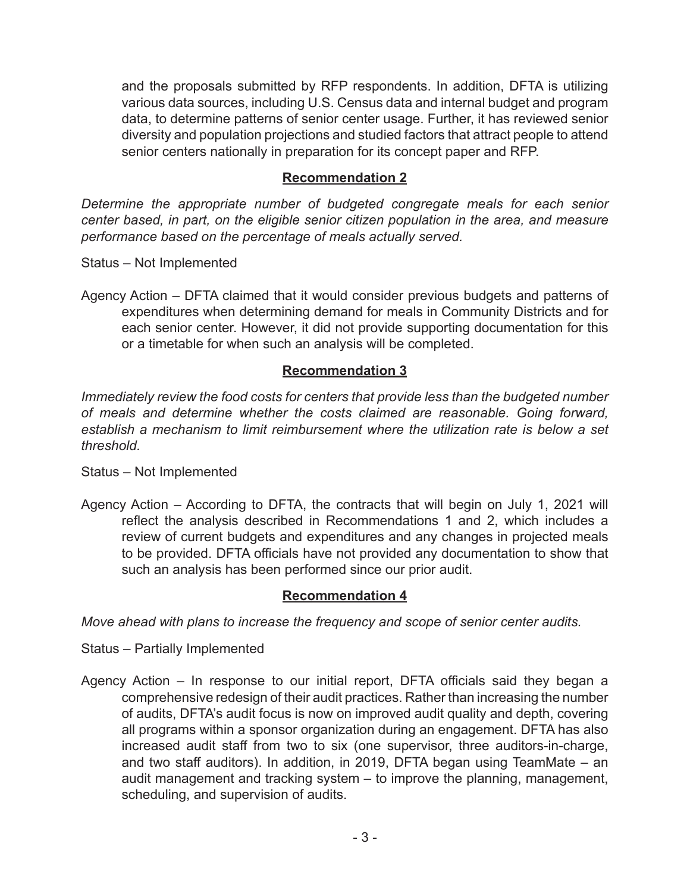and the proposals submitted by RFP respondents. In addition, DFTA is utilizing various data sources, including U.S. Census data and internal budget and program data, to determine patterns of senior center usage. Further, it has reviewed senior diversity and population projections and studied factors that attract people to attend senior centers nationally in preparation for its concept paper and RFP.

## **Recommendation 2**

*Determine the appropriate number of budgeted congregate meals for each senior center based, in part, on the eligible senior citizen population in the area, and measure performance based on the percentage of meals actually served.* 

Status – Not Implemented

Agency Action – DFTA claimed that it would consider previous budgets and patterns of expenditures when determining demand for meals in Community Districts and for each senior center. However, it did not provide supporting documentation for this or a timetable for when such an analysis will be completed.

## **Recommendation 3**

*Immediately review the food costs for centers that provide less than the budgeted number of meals and determine whether the costs claimed are reasonable. Going forward, establish a mechanism to limit reimbursement where the utilization rate is below a set threshold.* 

Status – Not Implemented

Agency Action – According to DFTA, the contracts that will begin on July 1, 2021 will reflect the analysis described in Recommendations 1 and 2, which includes a review of current budgets and expenditures and any changes in projected meals to be provided. DFTA officials have not provided any documentation to show that such an analysis has been performed since our prior audit.

### **Recommendation 4**

*Move ahead with plans to increase the frequency and scope of senior center audits.*

Status – Partially Implemented

Agency Action – In response to our initial report, DFTA officials said they began a comprehensive redesign of their audit practices. Rather than increasing the number of audits, DFTA's audit focus is now on improved audit quality and depth, covering all programs within a sponsor organization during an engagement. DFTA has also increased audit staff from two to six (one supervisor, three auditors-in-charge, and two staff auditors). In addition, in 2019, DFTA began using TeamMate – an audit management and tracking system – to improve the planning, management, scheduling, and supervision of audits.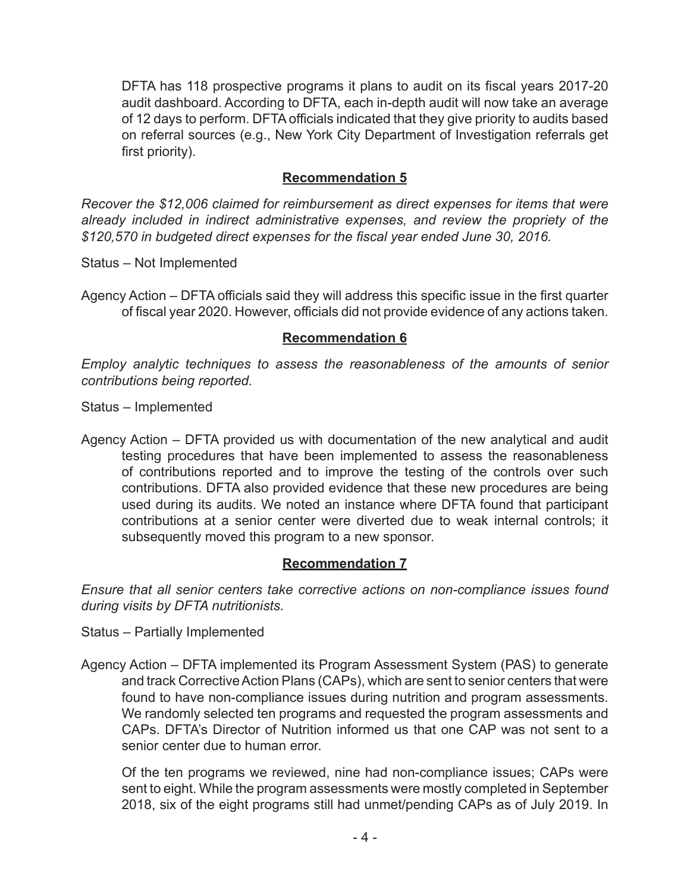DFTA has 118 prospective programs it plans to audit on its fiscal years 2017-20 audit dashboard. According to DFTA, each in-depth audit will now take an average of 12 days to perform. DFTA officials indicated that they give priority to audits based on referral sources (e.g., New York City Department of Investigation referrals get first priority).

# **Recommendation 5**

*Recover the \$12,006 claimed for reimbursement as direct expenses for items that were already included in indirect administrative expenses, and review the propriety of the \$120,570 in budgeted direct expenses for the fiscal year ended June 30, 2016.*

Status – Not Implemented

Agency Action – DFTA officials said they will address this specific issue in the first quarter of fiscal year 2020. However, officials did not provide evidence of any actions taken.

### **Recommendation 6**

*Employ analytic techniques to assess the reasonableness of the amounts of senior contributions being reported.*

Status – Implemented

Agency Action – DFTA provided us with documentation of the new analytical and audit testing procedures that have been implemented to assess the reasonableness of contributions reported and to improve the testing of the controls over such contributions. DFTA also provided evidence that these new procedures are being used during its audits. We noted an instance where DFTA found that participant contributions at a senior center were diverted due to weak internal controls; it subsequently moved this program to a new sponsor.

### **Recommendation 7**

*Ensure that all senior centers take corrective actions on non-compliance issues found during visits by DFTA nutritionists.* 

Status – Partially Implemented

Agency Action – DFTA implemented its Program Assessment System (PAS) to generate and track Corrective Action Plans (CAPs), which are sent to senior centers that were found to have non-compliance issues during nutrition and program assessments. We randomly selected ten programs and requested the program assessments and CAPs. DFTA's Director of Nutrition informed us that one CAP was not sent to a senior center due to human error.

Of the ten programs we reviewed, nine had non-compliance issues; CAPs were sent to eight. While the program assessments were mostly completed in September 2018, six of the eight programs still had unmet/pending CAPs as of July 2019. In